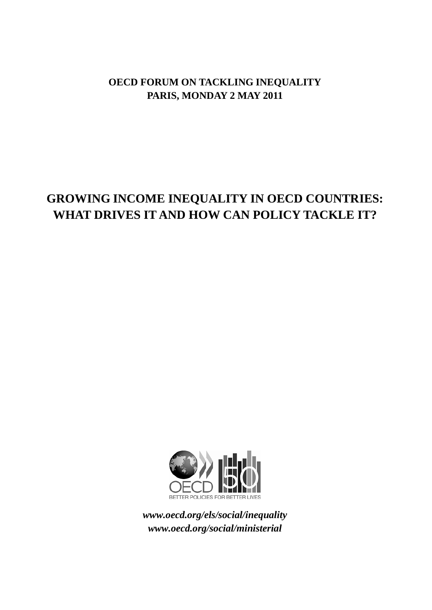# **OECD FORUM ON TACKLING INEQUALITY PARIS, MONDAY 2 MAY 2011**

# **GROWING INCOME INEQUALITY IN OECD COUNTRIES: WHAT DRIVES IT AND HOW CAN POLICY TACKLE IT?**



*www.oecd.org/els/social/inequality www.oecd.org/social/ministerial*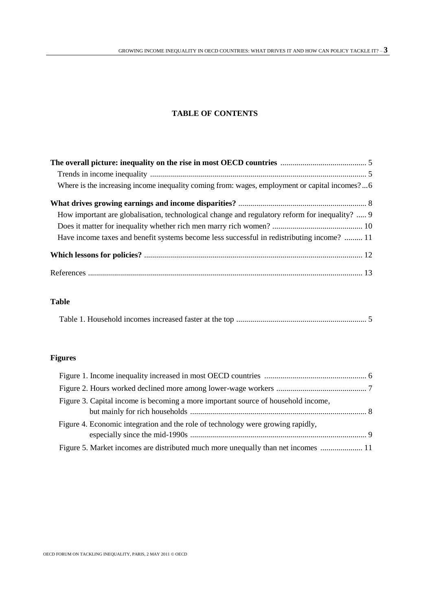# **TABLE OF CONTENTS**

| Where is the increasing income inequality coming from: wages, employment or capital incomes?6  |
|------------------------------------------------------------------------------------------------|
|                                                                                                |
| How important are globalisation, technological change and regulatory reform for inequality?  9 |
|                                                                                                |
| Have income taxes and benefit systems become less successful in redistributing income?  11     |
|                                                                                                |
|                                                                                                |

# **Table**

|--|--|

# **Figures**

| Figure 3. Capital income is becoming a more important source of household income, |  |
|-----------------------------------------------------------------------------------|--|
| Figure 4. Economic integration and the role of technology were growing rapidly,   |  |
| Figure 5. Market incomes are distributed much more unequally than net incomes  11 |  |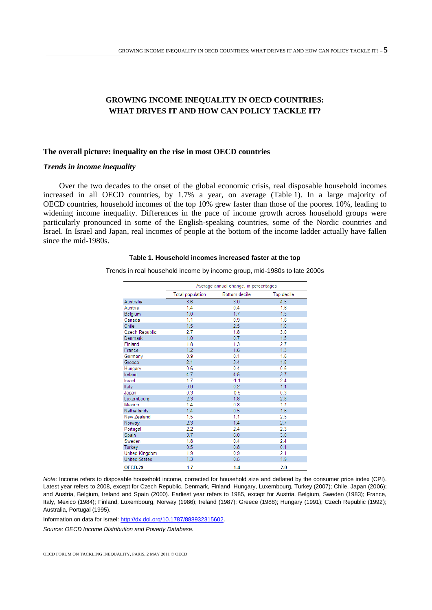# **GROWING INCOME INEQUALITY IN OECD COUNTRIES: WHAT DRIVES IT AND HOW CAN POLICY TACKLE IT?**

# **The overall picture: inequality on the rise in most OECD countries**

# *Trends in income inequality*

Over the two decades to the onset of the global economic crisis, real disposable household incomes increased in all OECD countries, by 1.7% a year, on average (Table 1). In a large majority of OECD countries, household incomes of the top 10% grew faster than those of the poorest 10%, leading to widening income inequality. Differences in the pace of income growth across household groups were particularly pronounced in some of the English-speaking countries, some of the Nordic countries and Israel. In Israel and Japan, real incomes of people at the bottom of the income ladder actually have fallen since the mid-1980s.

# **Table 1. Household incomes increased faster at the top**

Trends in real household income by income group, mid-1980s to late 2000s

|                      | Average annual change, in percentages |               |            |  |
|----------------------|---------------------------------------|---------------|------------|--|
|                      | <b>Total population</b>               | Bottom decile | Top decile |  |
| Australia            | 3.6                                   | 3.0           | 4.5        |  |
| Austria              | 1.4                                   | 0.4           | 1.6        |  |
| Belgium              | 1.0                                   | 1.7           | 1.5        |  |
| Canada               | 1.1                                   | 0.9           | 1.6        |  |
| Chile                | 1.5                                   | 2.5           | 1.0        |  |
| Czech Republic       | 2.7                                   | 1.8           | 3.0        |  |
| <b>Denmark</b>       | 1.0                                   | 0.7           | 1.5        |  |
| Finland              | 1.8                                   | 1.3           | 2.7        |  |
| France               | 1.2                                   | 1.6           | 1.3        |  |
| Germany              | 0.9                                   | 0.1           | 1.6        |  |
| Greece               | 2.1                                   | 3.4           | 1.8        |  |
| Hungary              | 0.6                                   | 0.4           | 0.6        |  |
| Ireland              | 4.7                                   | 4.5           | 3.7        |  |
| Israel               | 1.7                                   | $-1.1$        | 2.4        |  |
| Italy                | 0.8                                   | 0.2           | 1.1        |  |
| Japan                | 0.3                                   | $-0.5$        | 0.3        |  |
| Luxembourg           | 2.3                                   | 1.8           | 2.8        |  |
| Mexico               | 1.4                                   | 0.8           | 1.7        |  |
| Netherlands          | 1.4                                   | 0.5           | 1.6        |  |
| New Zealand          | 1.5                                   | 1.1           | 2.5        |  |
| Norway               | 2.3                                   | 1.4           | 2.7        |  |
| Portugal             | 2.2                                   | 2.4           | 2.3        |  |
| Spain                | 3.7                                   | 6.0           | 3.0        |  |
| Sweden               | 1.8                                   | 0.4           | 2.4        |  |
| Turkey               | 0.5                                   | 0.8           | 0.1        |  |
| United Kingdom       | 1.9                                   | 0.9           | 2.1        |  |
| <b>United States</b> | 1.3                                   | 0.5           | 1.9        |  |
| OECD-29              | 1.7                                   | 1.4           | 2.0        |  |

*Note*: Income refers to disposable household income, corrected for household size and deflated by the consumer price index (CPI). Latest year refers to 2008, except for Czech Republic, Denmark, Finland, Hungary, Luxembourg, Turkey (2007); Chile, Japan (2006); and Austria, Belgium, Ireland and Spain (2000). Earliest year refers to 1985, except for Austria, Belgium, Sweden (1983); France, Italy, Mexico (1984); Finland, Luxembourg, Norway (1986); Ireland (1987); Greece (1988); Hungary (1991); Czech Republic (1992); Australia, Portugal (1995).

Information on data for Israel[: http://dx.doi.org/10.1787/888932315602.](http://dx.doi.org/10.1787/888932315602)

*Source: OECD Income Distribution and Poverty Database.*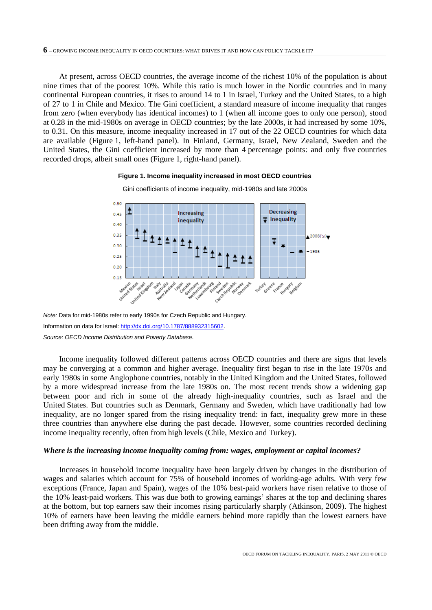At present, across OECD countries, the average income of the richest 10% of the population is about nine times that of the poorest 10%. While this ratio is much lower in the Nordic countries and in many continental European countries, it rises to around 14 to 1 in Israel, Turkey and the United States, to a high of 27 to 1 in Chile and Mexico. The Gini coefficient, a standard measure of income inequality that ranges from zero (when everybody has identical incomes) to 1 (when all income goes to only one person), stood at 0.28 in the mid-1980s on average in OECD countries; by the late 2000s, it had increased by some 10%, to 0.31. On this measure, income inequality increased in 17 out of the 22 OECD countries for which data are available (Figure 1, left-hand panel). In Finland, Germany, Israel, New Zealand, Sweden and the United States, the Gini coefficient increased by more than 4 percentage points: and only five countries recorded drops, albeit small ones (Figure 1, right-hand panel).

#### **Figure 1. Income inequality increased in most OECD countries**



Gini coefficients of income inequality, mid-1980s and late 2000s

*Note:* Data for mid-1980s refer to early 1990s for Czech Republic and Hungary. Information on data for Israel[: http://dx.doi.org/10.1787/888932315602.](http://dx.doi.org/10.1787/888932315602) *Source: OECD Income Distribution and Poverty Database*.

Income inequality followed different patterns across OECD countries and there are signs that levels may be converging at a common and higher average. Inequality first began to rise in the late 1970s and early 1980s in some Anglophone countries, notably in the United Kingdom and the United States, followed by a more widespread increase from the late 1980s on. The most recent trends show a widening gap between poor and rich in some of the already high-inequality countries, such as Israel and the United States. But countries such as Denmark, Germany and Sweden, which have traditionally had low inequality, are no longer spared from the rising inequality trend: in fact, inequality grew more in these three countries than anywhere else during the past decade. However, some countries recorded declining income inequality recently, often from high levels (Chile, Mexico and Turkey).

#### *Where is the increasing income inequality coming from: wages, employment or capital incomes?*

Increases in household income inequality have been largely driven by changes in the distribution of wages and salaries which account for 75% of household incomes of working-age adults. With very few exceptions (France, Japan and Spain), wages of the 10% best-paid workers have risen relative to those of the 10% least-paid workers. This was due both to growing earnings' shares at the top and declining shares at the bottom, but top earners saw their incomes rising particularly sharply (Atkinson, 2009). The highest 10% of earners have been leaving the middle earners behind more rapidly than the lowest earners have been drifting away from the middle.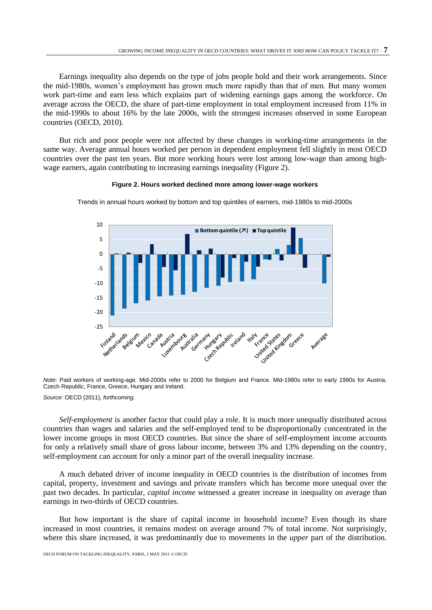Earnings inequality also depends on the type of jobs people hold and their work arrangements. Since the mid-1980s, women's employment has grown much more rapidly than that of men. But many women work part-time and earn less which explains part of widening earnings gaps among the workforce. On average across the OECD, the share of part-time employment in total employment increased from 11% in the mid-1990s to about 16% by the late 2000s, with the strongest increases observed in some European countries (OECD, 2010).

But rich and poor people were not affected by these changes in working-time arrangements in the same way. Average annual hours worked per person in dependent employment fell slightly in most OECD countries over the past ten years. But more working hours were lost among low-wage than among highwage earners, again contributing to increasing earnings inequality (Figure 2).

#### **Figure 2. Hours worked declined more among lower-wage workers**



Trends in annual hours worked by bottom and top quintiles of earners, mid-1980s to mid-2000s

*Note*: Paid workers of working-age. Mid-2000s refer to 2000 for Belgium and France. Mid-1980s refer to early 1990s for Austria, Czech Republic, France, Greece, Hungary and Ireland.

*Source*: OECD (2011), *forthcoming*.

*Self-employment* is another factor that could play a role. It is much more unequally distributed across countries than wages and salaries and the self-employed tend to be disproportionally concentrated in the lower income groups in most OECD countries. But since the share of self-employment income accounts for only a relatively small share of gross labour income, between 3% and 13% depending on the country, self-employment can account for only a minor part of the overall inequality increase.

A much debated driver of income inequality in OECD countries is the distribution of incomes from capital, property, investment and savings and private transfers which has become more unequal over the past two decades. In particular, *capital income* witnessed a greater increase in inequality on average than earnings in two-thirds of OECD countries.

But how important is the share of capital income in household income? Even though its share increased in most countries, it remains modest on average around 7% of total income. Not surprisingly, where this share increased, it was predominantly due to movements in the *upper* part of the distribution.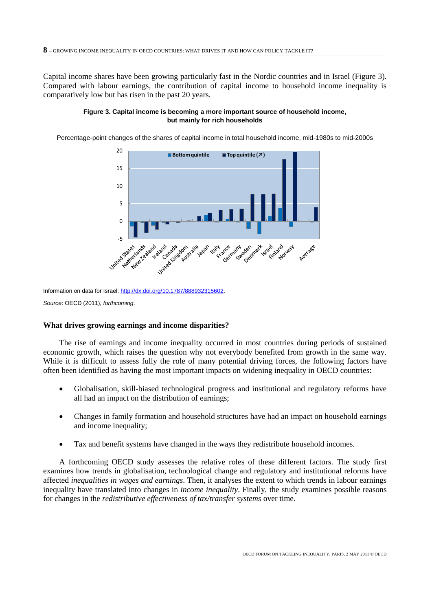Capital income shares have been growing particularly fast in the Nordic countries and in Israel (Figure 3). Compared with labour earnings, the contribution of capital income to household income inequality is comparatively low but has risen in the past 20 years.



Percentage-point changes of the shares of capital income in total household income, mid-1980s to mid-2000s



Information on data for Israel[: http://dx.doi.org/10.1787/888932315602.](http://dx.doi.org/10.1787/888932315602)

*Source*: OECD (2011), *forthcoming*.

## **What drives growing earnings and income disparities?**

The rise of earnings and income inequality occurred in most countries during periods of sustained economic growth, which raises the question why not everybody benefited from growth in the same way. While it is difficult to assess fully the role of many potential driving forces, the following factors have often been identified as having the most important impacts on widening inequality in OECD countries:

- Globalisation, skill-biased technological progress and institutional and regulatory reforms have all had an impact on the distribution of earnings;
- Changes in family formation and household structures have had an impact on household earnings and income inequality;
- Tax and benefit systems have changed in the ways they redistribute household incomes.

A forthcoming OECD study assesses the relative roles of these different factors. The study first examines how trends in globalisation, technological change and regulatory and institutional reforms have affected *inequalities in wages and earnings*. Then, it analyses the extent to which trends in labour earnings inequality have translated into changes in *income inequality*. Finally, the study examines possible reasons for changes in the *redistributive effectiveness of tax/transfer systems* over time.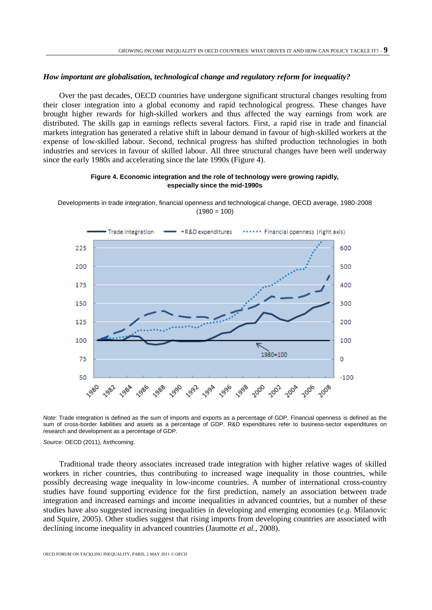# *How important are globalisation, technological change and regulatory reform for inequality?*

Over the past decades, OECD countries have undergone significant structural changes resulting from their closer integration into a global economy and rapid technological progress. These changes have brought higher rewards for high-skilled workers and thus affected the way earnings from work are distributed. The skills gap in earnings reflects several factors. First, a rapid rise in trade and financial markets integration has generated a relative shift in labour demand in favour of high-skilled workers at the expense of low-skilled labour. Second, technical progress has shifted production technologies in both industries and services in favour of skilled labour. All three structural changes have been well underway since the early 1980s and accelerating since the late 1990s (Figure 4).

## **Figure 4. Economic integration and the role of technology were growing rapidly, especially since the mid-1990s**





*Note*: Trade integration is defined as the sum of imports and exports as a percentage of GDP. Financial openness is defined as the sum of cross-border liabilities and assets as a percentage of GDP. R&D expenditures refer to business-sector expenditures on research and development as a percentage of GDP.

*Source*: OECD (2011), *forthcoming*.

Traditional trade theory associates increased trade integration with higher relative wages of skilled workers in richer countries, thus contributing to increased wage inequality in those countries, while possibly decreasing wage inequality in low-income countries. A number of international cross-country studies have found supporting evidence for the first prediction, namely an association between trade integration and increased earnings and income inequalities in advanced countries, but a number of these studies have also suggested increasing inequalities in developing and emerging economies (*e.g.* Milanovic and Squire, 2005). Other studies suggest that rising imports from developing countries are associated with declining income inequality in advanced countries (Jaumotte *et al.,* 2008).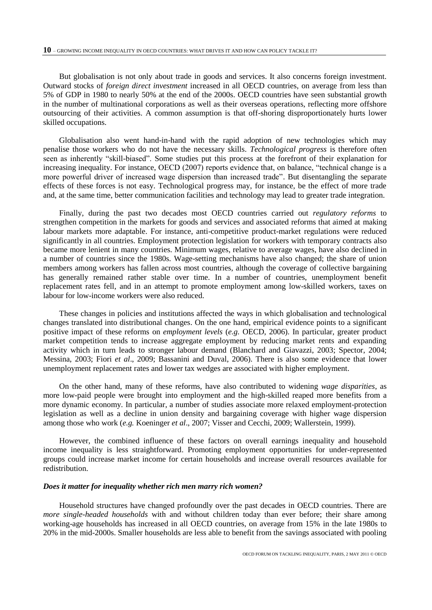But globalisation is not only about trade in goods and services. It also concerns foreign investment. Outward stocks of *foreign direct investment* increased in all OECD countries, on average from less than 5% of GDP in 1980 to nearly 50% at the end of the 2000s. OECD countries have seen substantial growth in the number of multinational corporations as well as their overseas operations, reflecting more offshore outsourcing of their activities. A common assumption is that off-shoring disproportionately hurts lower skilled occupations.

Globalisation also went hand-in-hand with the rapid adoption of new technologies which may penalise those workers who do not have the necessary skills. *Technological progress* is therefore often seen as inherently "skill-biased". Some studies put this process at the forefront of their explanation for increasing inequality. For instance, OECD (2007) reports evidence that, on balance, "technical change is a more powerful driver of increased wage dispersion than increased trade". But disentangling the separate effects of these forces is not easy. Technological progress may, for instance, be the effect of more trade and, at the same time, better communication facilities and technology may lead to greater trade integration.

Finally, during the past two decades most OECD countries carried out *regulatory reforms* to strengthen competition in the markets for goods and services and associated reforms that aimed at making labour markets more adaptable. For instance, anti-competitive product-market regulations were reduced significantly in all countries. Employment protection legislation for workers with temporary contracts also became more lenient in many countries. Minimum wages, relative to average wages, have also declined in a number of countries since the 1980s. Wage-setting mechanisms have also changed; the share of union members among workers has fallen across most countries, although the coverage of collective bargaining has generally remained rather stable over time. In a number of countries, unemployment benefit replacement rates fell, and in an attempt to promote employment among low-skilled workers, taxes on labour for low-income workers were also reduced.

These changes in policies and institutions affected the ways in which globalisation and technological changes translated into distributional changes. On the one hand, empirical evidence points to a significant positive impact of these reforms on *employment levels* (*e.g.* OECD, 2006). In particular, greater product market competition tends to increase aggregate employment by reducing market rents and expanding activity which in turn leads to stronger labour demand (Blanchard and Giavazzi, 2003; Spector, 2004; Messina, 2003; Fiori *et al*., 2009; Bassanini and Duval, 2006). There is also some evidence that lower unemployment replacement rates and lower tax wedges are associated with higher employment.

On the other hand, many of these reforms, have also contributed to widening *wage disparities*, as more low-paid people were brought into employment and the high-skilled reaped more benefits from a more dynamic economy. In particular, a number of studies associate more relaxed employment-protection legislation as well as a decline in union density and bargaining coverage with higher wage dispersion among those who work (*e.g.* Koeninger *et al*., 2007; Visser and Cecchi, 2009; Wallerstein, 1999).

However, the combined influence of these factors on overall earnings inequality and household income inequality is less straightforward. Promoting employment opportunities for under-represented groups could increase market income for certain households and increase overall resources available for redistribution.

# *Does it matter for inequality whether rich men marry rich women?*

Household structures have changed profoundly over the past decades in OECD countries. There are *more single-headed households* with and without children today than ever before; their share among working-age households has increased in all OECD countries, on average from 15% in the late 1980s to 20% in the mid-2000s. Smaller households are less able to benefit from the savings associated with pooling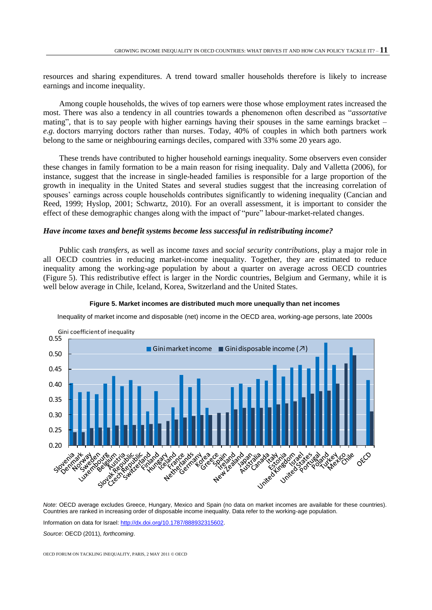resources and sharing expenditures. A trend toward smaller households therefore is likely to increase earnings and income inequality.

Among couple households, the wives of top earners were those whose employment rates increased the most. There was also a tendency in all countries towards a phenomenon often described as "*assortative*  mating", that is to say people with higher earnings having their spouses in the same earnings bracket – *e.g.* doctors marrying doctors rather than nurses. Today, 40% of couples in which both partners work belong to the same or neighbouring earnings deciles, compared with 33% some 20 years ago.

These trends have contributed to higher household earnings inequality. Some observers even consider these changes in family formation to be a main reason for rising inequality. Daly and Valletta (2006), for instance, suggest that the increase in single-headed families is responsible for a large proportion of the growth in inequality in the United States and several studies suggest that the increasing correlation of spouses' earnings across couple households contributes significantly to widening inequality (Cancian and Reed, 1999; Hyslop, 2001; Schwartz, 2010). For an overall assessment, it is important to consider the effect of these demographic changes along with the impact of "pure" labour-market-related changes.

# *Have income taxes and benefit systems become less successful in redistributing income?*

Public cash *transfers*, as well as income *taxes* and *social security contributions*, play a major role in all OECD countries in reducing market-income inequality. Together, they are estimated to reduce inequality among the working-age population by about a quarter on average across OECD countries (Figure 5). This redistributive effect is larger in the Nordic countries, Belgium and Germany, while it is well below average in Chile, Iceland, Korea, Switzerland and the United States.



#### **Figure 5. Market incomes are distributed much more unequally than net incomes**

Inequality of market income and disposable (net) income in the OECD area, working-age persons, late 2000s

*Note*: OECD average excludes Greece, Hungary, Mexico and Spain (no data on market incomes are available for these countries). Countries are ranked in increasing order of disposable income inequality. Data refer to the working-age population.

Information on data for Israel[: http://dx.doi.org/10.1787/888932315602.](http://dx.doi.org/10.1787/888932315602)

*Source*: OECD (2011), *forthcoming*.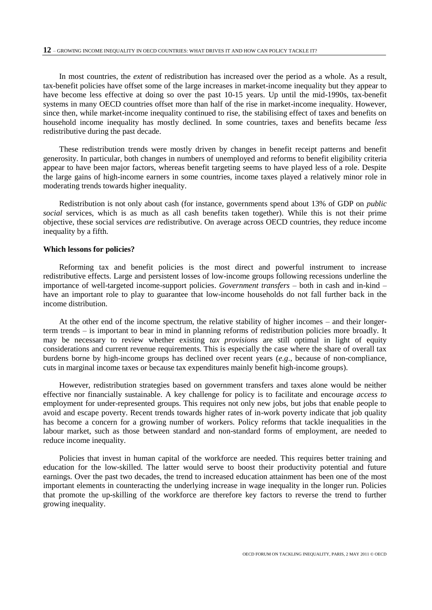In most countries, the *extent* of redistribution has increased over the period as a whole. As a result, tax-benefit policies have offset some of the large increases in market-income inequality but they appear to have become less effective at doing so over the past 10-15 years. Up until the mid-1990s, tax-benefit systems in many OECD countries offset more than half of the rise in market-income inequality. However, since then, while market-income inequality continued to rise, the stabilising effect of taxes and benefits on household income inequality has mostly declined. In some countries, taxes and benefits became *less* redistributive during the past decade.

These redistribution trends were mostly driven by changes in benefit receipt patterns and benefit generosity. In particular, both changes in numbers of unemployed and reforms to benefit eligibility criteria appear to have been major factors, whereas benefit targeting seems to have played less of a role. Despite the large gains of high-income earners in some countries, income taxes played a relatively minor role in moderating trends towards higher inequality.

Redistribution is not only about cash (for instance, governments spend about 13% of GDP on *public social* services, which is as much as all cash benefits taken together). While this is not their prime objective, these social services *are* redistributive. On average across OECD countries, they reduce income inequality by a fifth.

#### **Which lessons for policies?**

Reforming tax and benefit policies is the most direct and powerful instrument to increase redistributive effects. Large and persistent losses of low-income groups following recessions underline the importance of well-targeted income-support policies. *Government transfers* – both in cash and in-kind – have an important role to play to guarantee that low-income households do not fall further back in the income distribution.

At the other end of the income spectrum, the relative stability of higher incomes – and their longerterm trends – is important to bear in mind in planning reforms of redistribution policies more broadly. It may be necessary to review whether existing *tax provisions* are still optimal in light of equity considerations and current revenue requirements. This is especially the case where the share of overall tax burdens borne by high-income groups has declined over recent years (*e.g*., because of non-compliance, cuts in marginal income taxes or because tax expenditures mainly benefit high-income groups).

However, redistribution strategies based on government transfers and taxes alone would be neither effective nor financially sustainable. A key challenge for policy is to facilitate and encourage *access to*  employment for under-represented groups. This requires not only new jobs, but jobs that enable people to avoid and escape poverty. Recent trends towards higher rates of in-work poverty indicate that job quality has become a concern for a growing number of workers. Policy reforms that tackle inequalities in the labour market, such as those between standard and non-standard forms of employment, are needed to reduce income inequality.

Policies that invest in human capital of the workforce are needed. This requires better training and education for the low-skilled. The latter would serve to boost their productivity potential and future earnings. Over the past two decades, the trend to increased education attainment has been one of the most important elements in counteracting the underlying increase in wage inequality in the longer run. Policies that promote the up-skilling of the workforce are therefore key factors to reverse the trend to further growing inequality.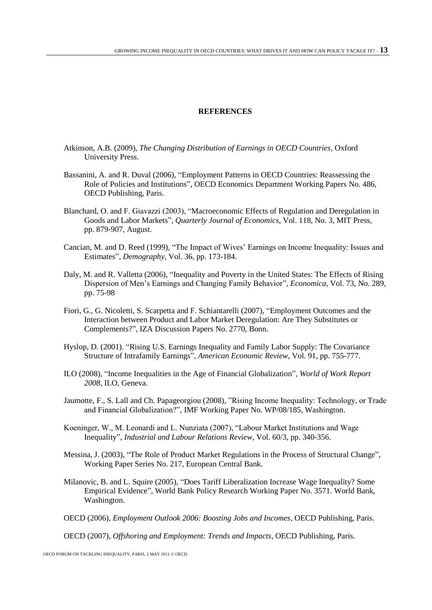# **REFERENCES**

- Atkinson, A.B. (2009), *The Changing Distribution of Earnings in OECD Countries,* Oxford University Press.
- Bassanini, A. and R. Duval (2006), ["Employment Patterns in OECD Countries: Reassessing the](http://ideas.repec.org/p/oec/ecoaaa/486-en.html)  [Role of Policies and Institutions"](http://ideas.repec.org/p/oec/ecoaaa/486-en.html), [OECD Economics Department Working Papers](http://ideas.repec.org/s/oec/ecoaaa.html) No. 486, OECD Publishing, Paris.
- Blanchard, O. and F. Giavazzi (2003), ["Macroeconomic Effects of Regulation and Deregulation in](http://ideas.repec.org/a/tpr/qjecon/v118y2003i3p879-907.html)  [Goods and Labor Markets"](http://ideas.repec.org/a/tpr/qjecon/v118y2003i3p879-907.html), *[Quarterly Journal of Economics](http://ideas.repec.org/s/tpr/qjecon.html)*, Vol. 118, No. 3, MIT Press, pp. 879-907, August.
- Cancian, M. and D. Reed (1999), "The Impact of Wives' Earnings on Income Inequality: Issues and Estimates", *Demography*, Vol. 36, pp. 173-184.
- Daly, M. and R. Valletta (2006), "Inequality and Poverty in the United States: The Effects of Rising Dispersion of Men's Earnings and Changing Family Behavior", *Economica,* Vol. 73, No. 289, pp. 75-98
- Fiori, G., G. Nicoletti, S. Scarpetta and F. Schiantarelli (2007), ["Employment Outcomes and the](http://ideas.repec.org/p/iza/izadps/dp2770.html)  [Interaction between Product and Labor Market Deregulation: Are They Substitutes or](http://ideas.repec.org/p/iza/izadps/dp2770.html)  [Complements?"](http://ideas.repec.org/p/iza/izadps/dp2770.html), [IZA Discussion Papers](http://ideas.repec.org/s/iza/izadps.html) No. 2770, Bonn.
- Hyslop, D. (2001). "Rising U.S. Earnings Inequality and Family Labor Supply: The Covariance Structure of Intrafamily Earnings", *American Economic Review*, Vol. 91, pp. 755-777.
- ILO (2008), "Income Inequalities in the Age of Financial Globalization", *World of Work Report 2008*, ILO, Geneva.
- Jaumotte, F., S. Lall and Ch. Papageorgiou (2008), "Rising Income Inequality: Technology, or Trade and Financial Globalization?", IMF Working Paper No. WP/08/185, Washington.
- Koeninger, W., M. Leonardi and L. Nunziata (2007), "Labour Market Institutions and Wage Inequality", *Industrial and Labour Relations Review,* Vol. 60/3, pp. 340-356.
- Messina, J. (2003), ["The Role of Product Market Regulations in the Process of Structural Change"](http://ideas.repec.org/p/ecb/ecbwps/20030217.html), [Working Paper Series](http://ideas.repec.org/s/ecb/ecbwps.html) No. 217, European Central Bank.
- Milanovic, B. and L. Squire (2005), "Does Tariff Liberalization Increase Wage Inequality? Some Empirical Evidence", World Bank Policy Research Working Paper No. 3571. World Bank, Washington.
- OECD (2006), *Employment Outlook 2006: Boosting Jobs and Incomes*, OECD Publishing, Paris.

OECD (2007), *Offshoring and Employment: Trends and Impacts*, OECD Publishing, Paris.